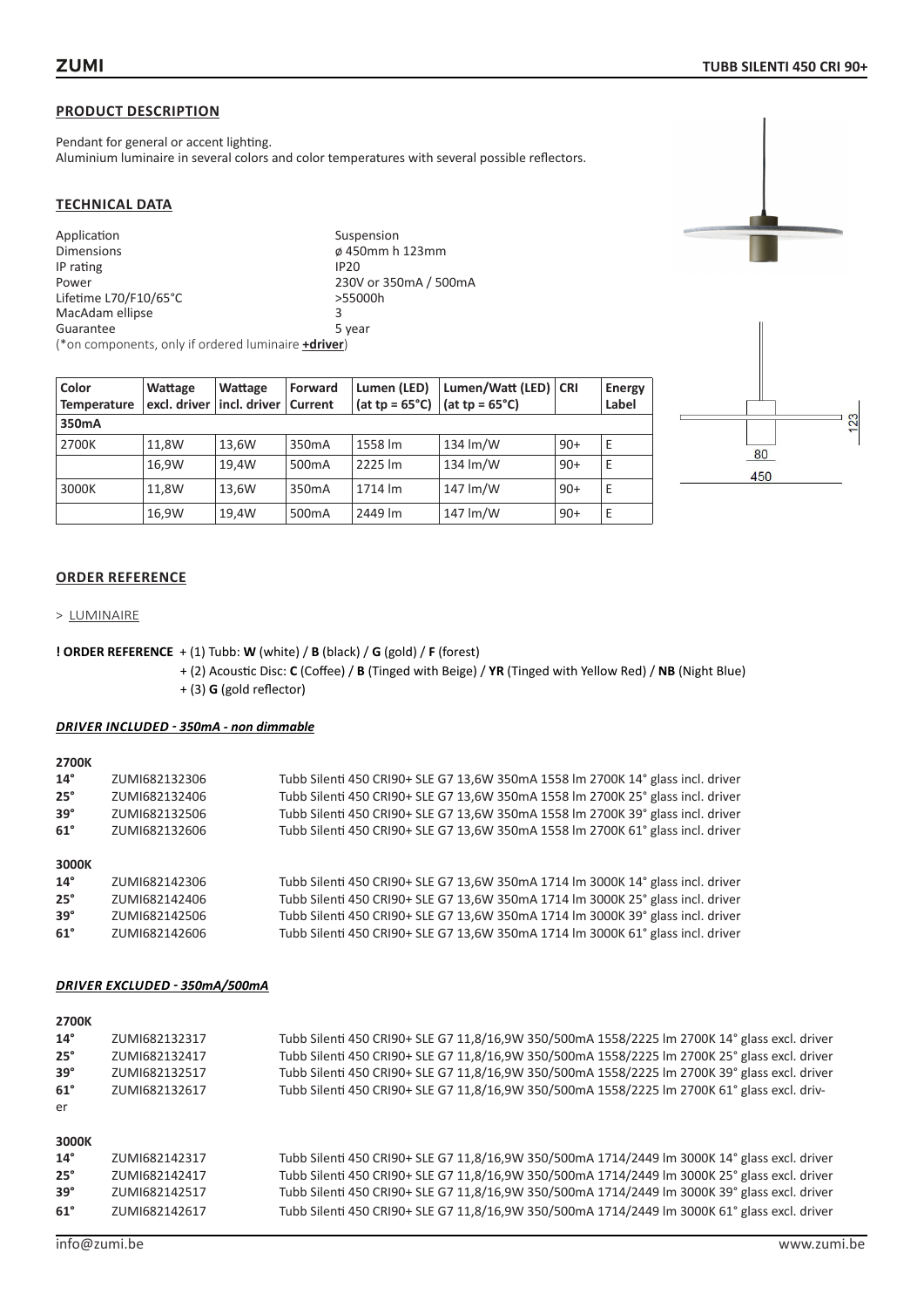Pendant for general or accent lighting. Aluminium luminaire in several colors and color temperatures with several possible reflectors.

## **TECHNICAL DATA**

| Application                                                 | Suspension            |
|-------------------------------------------------------------|-----------------------|
| <b>Dimensions</b>                                           | ø 450mm h 123mm       |
| IP rating                                                   | <b>IP20</b>           |
| Power                                                       | 230V or 350mA / 500mA |
| Lifetime L70/F10/65°C                                       | >55000h               |
| MacAdam ellipse                                             | 3                     |
| Guarantee                                                   | 5 year                |
| (*on components, only if ordered luminaire <b>+driver</b> ) |                       |

| Color<br><b>Temperature</b> | Wattage<br>excl. driver | Wattage<br>incl. driver   Current | Forward            | Lumen (LED)<br>(at tp = $65^{\circ}$ C) | Lumen/Watt (LED)   CRI<br>(at tp = $65^{\circ}$ C) |       | Energy<br>Label |
|-----------------------------|-------------------------|-----------------------------------|--------------------|-----------------------------------------|----------------------------------------------------|-------|-----------------|
| 350mA                       |                         |                                   |                    |                                         |                                                    |       |                 |
| 2700K                       | 11.8W                   | 13,6W                             | 350 <sub>m</sub> A | 1558 lm                                 | 134 lm/W                                           | $90+$ | Ε               |
|                             | 16.9W                   | 19.4W                             | 500 <sub>m</sub> A | 2225 lm                                 | $134 \mathrm{Im} / W$                              | $90+$ | Ε               |
| 3000K                       | 11.8W                   | 13.6W                             | 350 <sub>m</sub> A | 1714 lm                                 | 147 lm/W                                           | $90+$ | Ε               |
|                             | 16,9W                   | 19,4W                             | 500 <sub>m</sub> A | 2449 lm                                 | 147 lm/W                                           | $90+$ | Ε               |



## **ORDER REFERENCE**

> LUMINAIRE

#### **! ORDER REFERENCE** + (1) Tubb: **W** (white) / **B** (black) / **G** (gold) / **F** (forest)

+ (2) Acoustic Disc: **C** (Coffee) / **B** (Tinged with Beige) / **YR** (Tinged with Yellow Red) / **NB** (Night Blue) + (3) **G** (gold reflector)

#### *DRIVER INCLUDED - 350mA - non dimmable*

| 2700K        |               |                                                                                 |
|--------------|---------------|---------------------------------------------------------------------------------|
| $14^{\circ}$ | ZUMI682132306 | Tubb Silenti 450 CRI90+ SLE G7 13,6W 350mA 1558 Im 2700K 14° glass incl. driver |
| $25^\circ$   | ZUMI682132406 | Tubb Silenti 450 CRI90+ SLE G7 13,6W 350mA 1558 Im 2700K 25° glass incl. driver |
| $39^\circ$   | ZUMI682132506 | Tubb Silenti 450 CRI90+ SLE G7 13,6W 350mA 1558 Im 2700K 39° glass incl. driver |
| $61^\circ$   | ZUMI682132606 | Tubb Silenti 450 CRI90+ SLE G7 13,6W 350mA 1558 Im 2700K 61° glass incl. driver |
| 3000K        |               |                                                                                 |
| $14^{\circ}$ | ZUMI682142306 | Tubb Silenti 450 CRI90+ SLE G7 13,6W 350mA 1714 Im 3000K 14° glass incl. driver |
| $25^\circ$   | ZUMI682142406 | Tubb Silenti 450 CRI90+ SLE G7 13,6W 350mA 1714 Im 3000K 25° glass incl. driver |
| $39^\circ$   | ZUMI682142506 | Tubb Silenti 450 CRI90+ SLE G7 13,6W 350mA 1714 Im 3000K 39° glass incl. driver |
| $61^\circ$   | ZUMI682142606 | Tubb Silenti 450 CRI90+ SLE G7 13,6W 350mA 1714 Im 3000K 61° glass incl. driver |

| 2700K        |               |                                                                                               |
|--------------|---------------|-----------------------------------------------------------------------------------------------|
| $14^{\circ}$ | ZUMI682132317 | Tubb Silenti 450 CRI90+ SLE G7 11,8/16,9W 350/500mA 1558/2225 lm 2700K 14° glass excl. driver |
| $25^\circ$   | ZUMI682132417 | Tubb Silenti 450 CRI90+ SLE G7 11,8/16,9W 350/500mA 1558/2225 lm 2700K 25° glass excl. driver |
| $39^\circ$   | ZUMI682132517 | Tubb Silenti 450 CRI90+ SLE G7 11,8/16,9W 350/500mA 1558/2225 Im 2700K 39° glass excl. driver |
| $61^\circ$   | ZUMI682132617 | Tubb Silenti 450 CRI90+ SLE G7 11,8/16,9W 350/500mA 1558/2225 lm 2700K 61° glass excl. driv-  |
| er           |               |                                                                                               |
| 3000K        |               |                                                                                               |
| $14^{\circ}$ | ZUMI682142317 | Tubb Silenti 450 CRI90+ SLE G7 11,8/16,9W 350/500mA 1714/2449 lm 3000K 14° glass excl. driver |
| $25^\circ$   | ZUMI682142417 | Tubb Silenti 450 CRI90+ SLE G7 11,8/16,9W 350/500mA 1714/2449 Im 3000K 25° glass excl. driver |
| $39^\circ$   | ZUMI682142517 | Tubb Silenti 450 CRI90+ SLE G7 11,8/16,9W 350/500mA 1714/2449 lm 3000K 39° glass excl. driver |
| $61^\circ$   | ZUMI682142617 | Tubb Silenti 450 CRI90+ SLE G7 11,8/16,9W 350/500mA 1714/2449 lm 3000K 61° glass excl. driver |
|              |               |                                                                                               |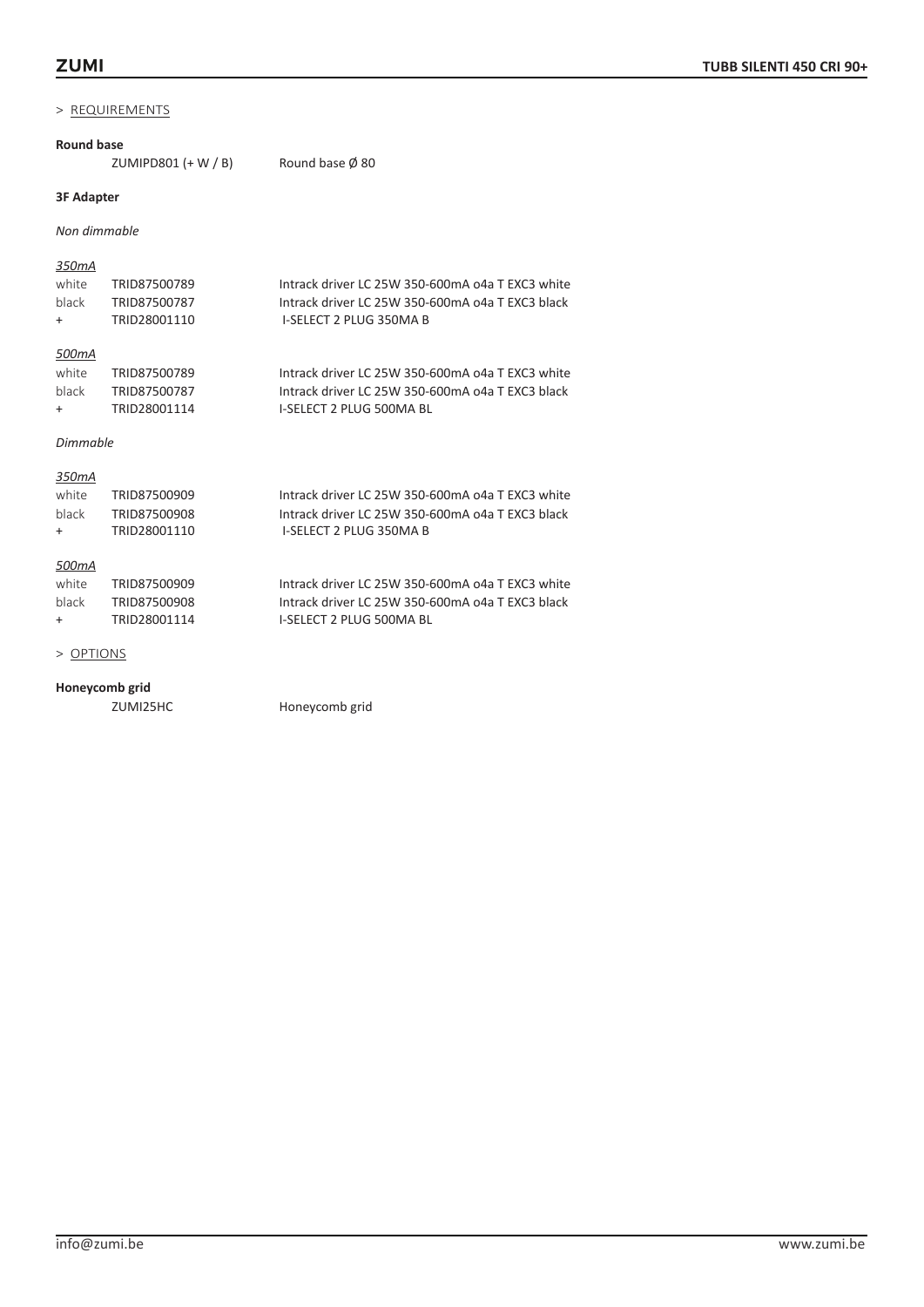#### **Round base**

ZUMIPD801  $(+ W / B)$  Round base  $\emptyset$  80

# **3F Adapter**

*Non dimmable*

#### *350mA*

| white | TRID87500789 | Intrack driver LC 25W 350-600mA o4a T EXC3 white |
|-------|--------------|--------------------------------------------------|
| black | TRID87500787 | Intrack driver LC 25W 350-600mA o4a T EXC3 black |
| $+$   | TRID28001110 | I-SELECT 2 PLUG 350MA B                          |
|       |              |                                                  |

# *500mA*

| white | TRID87500789 | Intrack driver LC 25W 350-600mA o4a T EXC3 white |
|-------|--------------|--------------------------------------------------|
| black | TRID87500787 | Intrack driver LC 25W 350-600mA o4a T EXC3 black |
| $+$   | TRID28001114 | I-SELECT 2 PLUG 500MA BL                         |

#### *Dimmable*

## *350mA*

| white   | TRID87500909 | Intrack driver LC 25W 350-600mA o4a T EXC3 white |
|---------|--------------|--------------------------------------------------|
| black   | TRID87500908 | Intrack driver LC 25W 350-600mA o4a T EXC3 black |
| $+$ $-$ | TRID28001110 | I-SELECT 2 PLUG 350MA B                          |
|         |              |                                                  |
| 500mA   |              |                                                  |

#### *500mA*

| white | TRID87500909 | Intrack driver LC 25W 350-600mA o4a T EXC3 white |
|-------|--------------|--------------------------------------------------|
| black | TRID87500908 | Intrack driver LC 25W 350-600mA o4a T EXC3 black |
| $+$   | TRID28001114 | I-SELECT 2 PLUG 500MA BL                         |

#### > OPTIONS

# **Honeycomb grid**

Honeycomb grid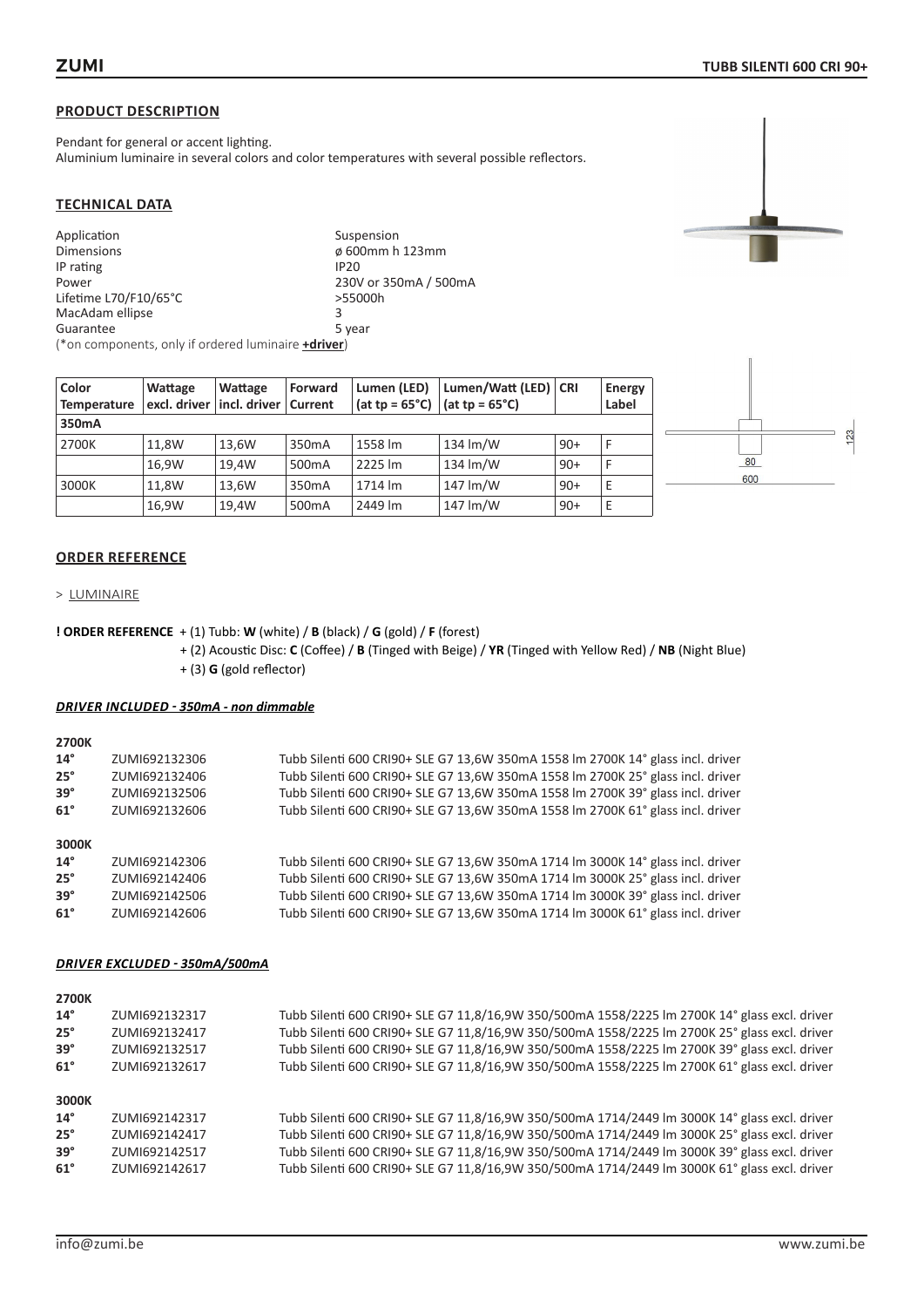Pendant for general or accent lighting. Aluminium luminaire in several colors and color temperatures with several possible reflectors.

## **TECHNICAL DATA**

| Application                                                 | Suspension            |
|-------------------------------------------------------------|-----------------------|
| <b>Dimensions</b>                                           | ø 600mm h 123mm       |
| IP rating                                                   | <b>IP20</b>           |
| Power                                                       | 230V or 350mA / 500mA |
| Lifetime L70/F10/65°C                                       | >55000h               |
| MacAdam ellipse                                             | з                     |
| Guarantee                                                   | 5 year                |
| (*on components, only if ordered luminaire <b>+driver</b> ) |                       |

| Color<br><b>Temperature</b> | <b>Wattage</b> | Wattage<br>excl. driver   incl. driver | <b>Forward</b><br>Current | Lumen (LED)<br>(at tp = $65^{\circ}$ C)   (at tp = $65^{\circ}$ C) | Lumen/Watt (LED)   CRI |       | <b>Energy</b><br>Label |
|-----------------------------|----------------|----------------------------------------|---------------------------|--------------------------------------------------------------------|------------------------|-------|------------------------|
| 350mA                       |                |                                        |                           |                                                                    |                        |       |                        |
| 2700K                       | 11.8W          | 13,6W                                  | 350 <sub>m</sub> A        | 1558 lm                                                            | 134 lm/W               | $90+$ | F                      |
|                             | 16.9W          | 19.4W                                  | 500 <sub>m</sub> A        | 2225 lm                                                            | 134 lm/W               | $90+$ | F                      |
| 3000K                       | 11.8W          | 13.6W                                  | 350 <sub>m</sub> A        | 1714 lm                                                            | 147 lm/W               | $90+$ | E                      |
|                             | 16,9W          | 19.4W                                  | 500 <sub>m</sub> A        | 2449 lm                                                            | 147 lm/W               | $90+$ | E                      |



## **ORDER REFERENCE**

> LUMINAIRE

**! ORDER REFERENCE** + (1) Tubb: **W** (white) / **B** (black) / **G** (gold) / **F** (forest)

+ (2) Acoustic Disc: **C** (Coffee) / **B** (Tinged with Beige) / **YR** (Tinged with Yellow Red) / **NB** (Night Blue)

+ (3) **G** (gold reflector)

## *DRIVER INCLUDED - 350mA - non dimmable*

**2700K**

| ZUMI692132306 | Tubb Silenti 600 CRI90+ SLE G7 13,6W 350mA 1558 Im 2700K 14° glass incl. driver |
|---------------|---------------------------------------------------------------------------------|
| ZUMI692132406 | Tubb Silenti 600 CRI90+ SLE G7 13,6W 350mA 1558 Im 2700K 25° glass incl. driver |
| ZUMI692132506 | Tubb Silenti 600 CRI90+ SLE G7 13,6W 350mA 1558 Im 2700K 39° glass incl. driver |
| ZUMI692132606 | Tubb Silenti 600 CRI90+ SLE G7 13,6W 350mA 1558 lm 2700K 61° glass incl. driver |
|               |                                                                                 |
|               |                                                                                 |
| ZUMI692142306 | Tubb Silenti 600 CRI90+ SLE G7 13,6W 350mA 1714 lm 3000K 14° glass incl. driver |
| ZUMI692142406 | Tubb Silenti 600 CRI90+ SLE G7 13,6W 350mA 1714 Im 3000K 25° glass incl. driver |
| ZUMI692142506 | Tubb Silenti 600 CRI90+ SLE G7 13,6W 350mA 1714 lm 3000K 39° glass incl. driver |
| ZUMI692142606 | Tubb Silenti 600 CRI90+ SLE G7 13.6W 350mA 1714 lm 3000K 61° glass incl. driver |
|               |                                                                                 |

| 2700K                 |               |                                                                                               |
|-----------------------|---------------|-----------------------------------------------------------------------------------------------|
| $14^{\circ}$          | ZUMI692132317 | Tubb Silenti 600 CRI90+ SLE G7 11,8/16,9W 350/500mA 1558/2225 lm 2700K 14° glass excl. driver |
| $25^\circ$            | ZUMI692132417 | Tubb Silenti 600 CRI90+ SLE G7 11,8/16,9W 350/500mA 1558/2225 lm 2700K 25° glass excl. driver |
| $39^\circ$            | ZUMI692132517 | Tubb Silenti 600 CRI90+ SLE G7 11,8/16,9W 350/500mA 1558/2225 lm 2700K 39° glass excl. driver |
| $61^\circ$            | ZUMI692132617 | Tubb Silenti 600 CRI90+ SLE G7 11,8/16,9W 350/500mA 1558/2225 lm 2700K 61° glass excl. driver |
| 3000K<br>$14^{\circ}$ |               |                                                                                               |
|                       | ZUMI692142317 | Tubb Silenti 600 CRI90+ SLE G7 11,8/16,9W 350/500mA 1714/2449 lm 3000K 14° glass excl. driver |
| $25^\circ$            | ZUMI692142417 | Tubb Silenti 600 CRI90+ SLE G7 11,8/16,9W 350/500mA 1714/2449 lm 3000K 25° glass excl. driver |
| $39^\circ$            | ZUMI692142517 | Tubb Silenti 600 CRI90+ SLE G7 11,8/16,9W 350/500mA 1714/2449 lm 3000K 39° glass excl. driver |
| $61^\circ$            | ZUMI692142617 | Tubb Silenti 600 CRI90+ SLE G7 11,8/16,9W 350/500mA 1714/2449 lm 3000K 61° glass excl. driver |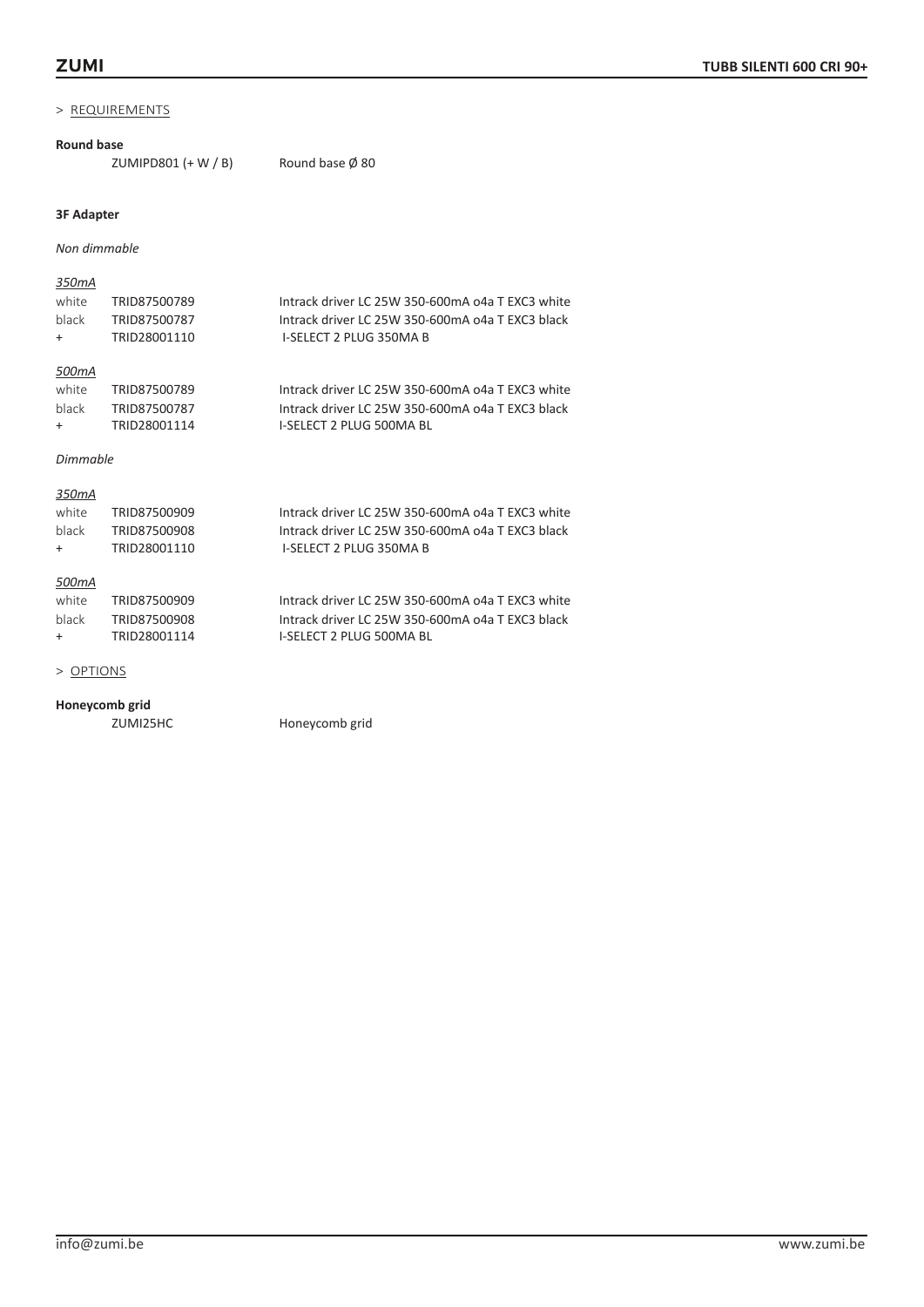#### **Round base**

ZUMIPD801  $(+ W / B)$  Round base  $\emptyset$  80

#### **3F Adapter**

*Non dimmable*

#### *350mA*

| white | TRID87500789 | Intrack driver LC 25W 350-600mA o4a T EXC3 white |
|-------|--------------|--------------------------------------------------|
| black | TRID87500787 | Intrack driver LC 25W 350-600mA o4a T EXC3 black |
| $+$   | TRID28001110 | I-SELECT 2 PLUG 350MA B                          |
|       |              |                                                  |

# *500mA*

| white | TRID87500789 | Intrack driver LC 25W 350-600mA o4a T EXC3 white |
|-------|--------------|--------------------------------------------------|
| black | TRID87500787 | Intrack driver LC 25W 350-600mA o4a T EXC3 black |
| $+$   | TRID28001114 | I-SELECT 2 PLUG 500MA BL                         |

#### *Dimmable*

# *350mA*

| white | TRID87500909 | Intrack driver LC 25W 350-600mA o4a T EXC3 white |
|-------|--------------|--------------------------------------------------|
| black | TRID87500908 | Intrack driver LC 25W 350-600mA o4a T EXC3 black |
| $+$   | TRID28001110 | <b>I-SELECT 2 PLUG 350MA B</b>                   |
|       |              |                                                  |

## *500mA*

| white | TRID87500909 | Intrack driver LC 25W 350-600mA o4a T EXC3 white |
|-------|--------------|--------------------------------------------------|
| black | TRID87500908 | Intrack driver LC 25W 350-600mA o4a T EXC3 black |
| $+$   | TRID28001114 | I-SELECT 2 PLUG 500MA BL                         |

# > OPTIONS

# **Honeycomb grid**

ZUMI25HC Honeycomb grid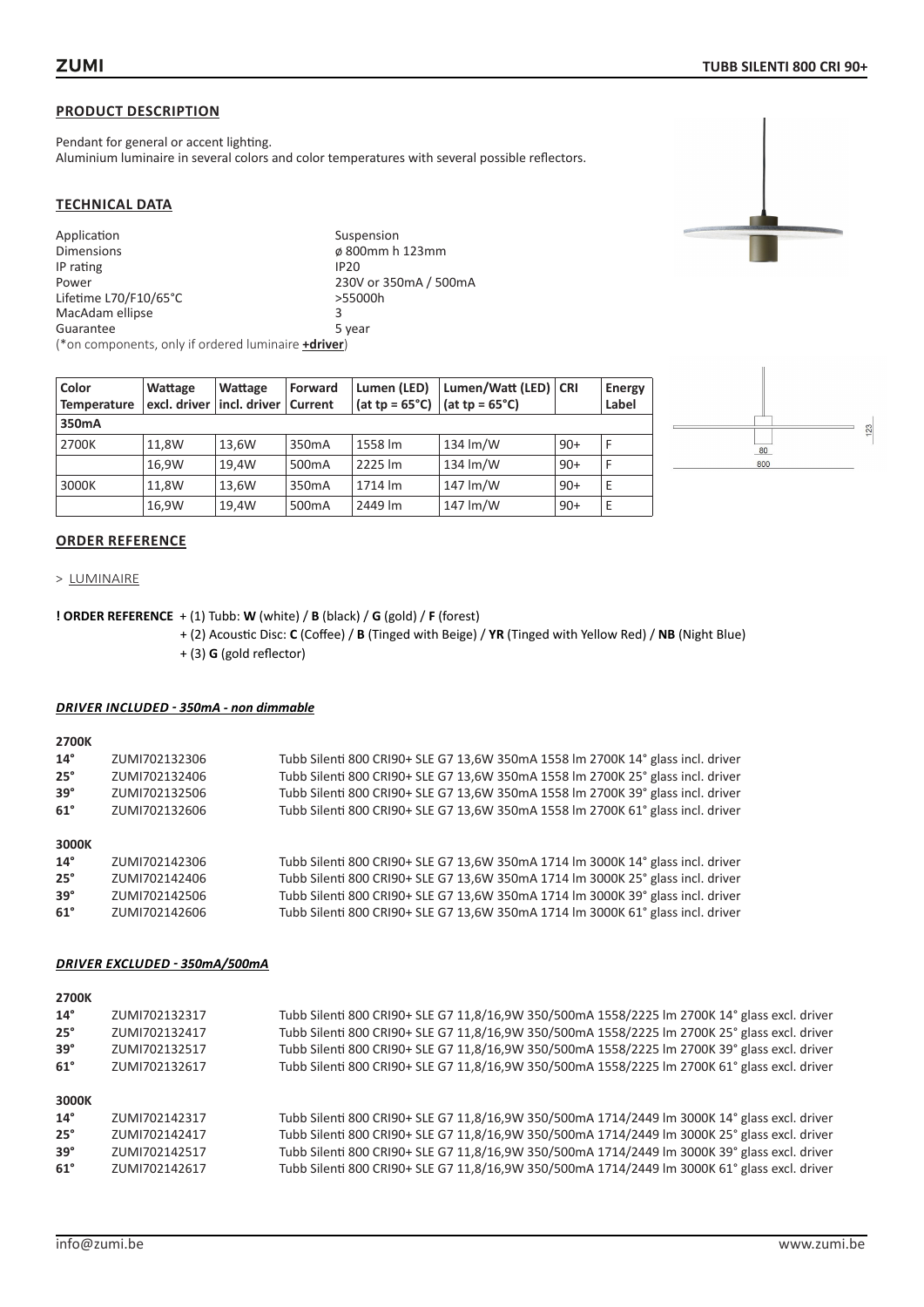Pendant for general or accent lighting. Aluminium luminaire in several colors and color temperatures with several possible reflectors.

#### **TECHNICAL DATA**

| Application                                                 | Suspension            |
|-------------------------------------------------------------|-----------------------|
| <b>Dimensions</b>                                           | ø 800mm h 123mm       |
| IP rating                                                   | <b>IP20</b>           |
| Power                                                       | 230V or 350mA / 500mA |
| Lifetime L70/F10/65°C                                       | >55000h               |
| MacAdam ellipse                                             | 3                     |
| Guarantee                                                   | 5 year                |
| (*on components, only if ordered luminaire <b>+driver</b> ) |                       |

| Color<br><b>Temperature</b> | Wattage | Wattage<br>excl. driver   incl. driver | Forward<br>Current | Lumen (LED)<br>(at tp = $65^{\circ}$ C) | Lumen/Watt (LED)   CRI<br>(at tp = $65^{\circ}$ C) |       | <b>Energy</b><br>Label |
|-----------------------------|---------|----------------------------------------|--------------------|-----------------------------------------|----------------------------------------------------|-------|------------------------|
| 350mA                       |         |                                        |                    |                                         |                                                    |       |                        |
| 2700K                       | 11.8W   | 13.6W                                  | 350 <sub>m</sub> A | 1558 lm                                 | $134 \mathrm{Im} / W$                              | $90+$ |                        |
|                             | 16.9W   | 19.4W                                  | 500 <sub>m</sub> A | 2225 lm                                 | 134 $\text{Im}/\text{W}$                           | $90+$ |                        |
| 3000K                       | 11.8W   | 13.6W                                  | 350 <sub>m</sub> A | 1714 lm                                 | 147 lm/W                                           | $90+$ | Е                      |
|                             | 16,9W   | 19.4W                                  | 500 <sub>m</sub> A | 2449 lm                                 | 147 lm/W                                           | $90+$ | E                      |



## **ORDER REFERENCE**

> LUMINAIRE

## **! ORDER REFERENCE** + (1) Tubb: **W** (white) / **B** (black) / **G** (gold) / **F** (forest)

+ (2) Acoustic Disc: **C** (Coffee) / **B** (Tinged with Beige) / **YR** (Tinged with Yellow Red) / **NB** (Night Blue) + (3) **G** (gold reflector)

#### *DRIVER INCLUDED - 350mA - non dimmable*

**2700K**

| $14^{\circ}$ | ZUMI702132306 | Tubb Silenti 800 CRI90+ SLE G7 13,6W 350mA 1558 Im 2700K 14° glass incl. driver |
|--------------|---------------|---------------------------------------------------------------------------------|
| $25^\circ$   | ZUMI702132406 | Tubb Silenti 800 CRI90+ SLE G7 13,6W 350mA 1558 Im 2700K 25° glass incl. driver |
| $39^\circ$   | ZUMI702132506 | Tubb Silenti 800 CRI90+ SLE G7 13,6W 350mA 1558 Im 2700K 39° glass incl. driver |
| $61^\circ$   | ZUMI702132606 | Tubb Silenti 800 CRI90+ SLE G7 13,6W 350mA 1558 Im 2700K 61° glass incl. driver |
|              |               |                                                                                 |
| 3000K        |               |                                                                                 |
| $14^{\circ}$ | ZUMI702142306 | Tubb Silenti 800 CRI90+ SLE G7 13,6W 350mA 1714 lm 3000K 14° glass incl. driver |
| $25^\circ$   | ZUMI702142406 | Tubb Silenti 800 CRI90+ SLE G7 13,6W 350mA 1714 Im 3000K 25° glass incl. driver |
| $39^\circ$   | ZUMI702142506 | Tubb Silenti 800 CRI90+ SLE G7 13,6W 350mA 1714 Im 3000K 39° glass incl. driver |
| $61^\circ$   | ZUMI702142606 | Tubb Silenti 800 CRI90+ SLE G7 13,6W 350mA 1714 lm 3000K 61° glass incl. driver |

| 2700K        |               |                                                                                               |
|--------------|---------------|-----------------------------------------------------------------------------------------------|
| $14^{\circ}$ | ZUMI702132317 | Tubb Silenti 800 CRI90+ SLE G7 11,8/16,9W 350/500mA 1558/2225 lm 2700K 14° glass excl. driver |
| $25^\circ$   | ZUMI702132417 | Tubb Silenti 800 CRI90+ SLE G7 11,8/16,9W 350/500mA 1558/2225 Im 2700K 25° glass excl. driver |
| $39^\circ$   | ZUMI702132517 | Tubb Silenti 800 CRI90+ SLE G7 11,8/16,9W 350/500mA 1558/2225 Im 2700K 39° glass excl. driver |
| $61^\circ$   | ZUMI702132617 | Tubb Silenti 800 CRI90+ SLE G7 11,8/16,9W 350/500mA 1558/2225 lm 2700K 61° glass excl. driver |
| 3000K        |               |                                                                                               |
| $14^{\circ}$ | ZUMI702142317 | Tubb Silenti 800 CRI90+ SLE G7 11,8/16,9W 350/500mA 1714/2449 lm 3000K 14° glass excl. driver |
| $25^\circ$   | ZUMI702142417 | Tubb Silenti 800 CRI90+ SLE G7 11,8/16,9W 350/500mA 1714/2449 lm 3000K 25° glass excl. driver |
| $39^\circ$   | ZUMI702142517 | Tubb Silenti 800 CRI90+ SLE G7 11,8/16,9W 350/500mA 1714/2449 lm 3000K 39° glass excl. driver |
| $61^\circ$   | ZUMI702142617 | Tubb Silenti 800 CRI90+ SLE G7 11,8/16,9W 350/500mA 1714/2449 lm 3000K 61° glass excl. driver |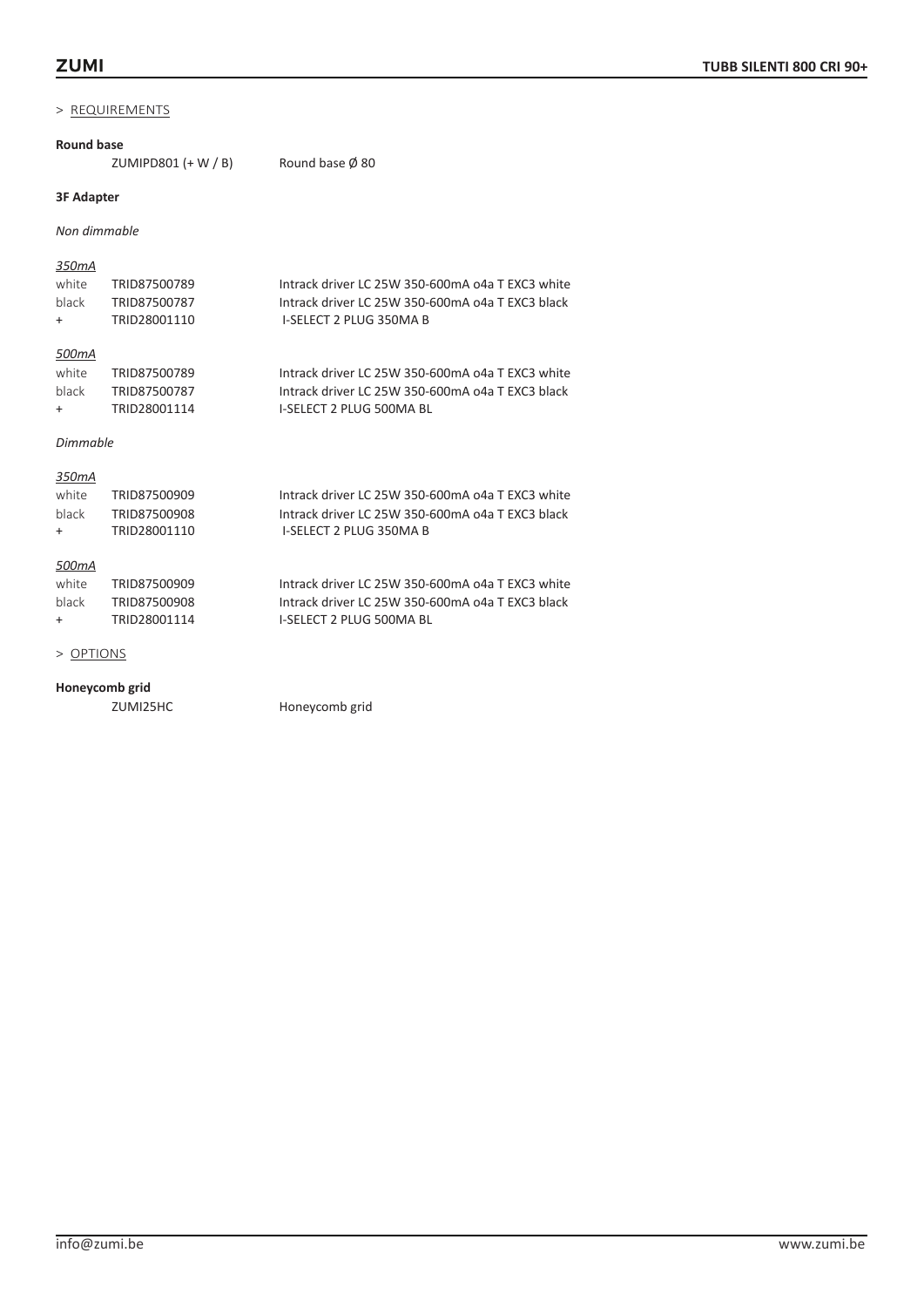#### **Round base**

ZUMIPD801  $(+ W / B)$  Round base  $\emptyset$  80

# **3F Adapter**

*Non dimmable*

#### *350mA*

| white | TRID87500789 | Intrack driver LC 25W 350-600mA o4a T EXC3 white |
|-------|--------------|--------------------------------------------------|
| black | TRID87500787 | Intrack driver LC 25W 350-600mA o4a T EXC3 black |
| $+$   | TRID28001110 | I-SELECT 2 PLUG 350MA B                          |
|       |              |                                                  |

# *500mA*

| white | TRID87500789 | Intrack driver LC 25W 350-600mA o4a T EXC3 white |
|-------|--------------|--------------------------------------------------|
| black | TRID87500787 | Intrack driver LC 25W 350-600mA o4a T EXC3 black |
| $+$   | TRID28001114 | I-SELECT 2 PLUG 500MA BL                         |

#### *Dimmable*

## *350mA*

| white   | TRID87500909 | Intrack driver LC 25W 350-600mA o4a T EXC3 white |
|---------|--------------|--------------------------------------------------|
| black   | TRID87500908 | Intrack driver LC 25W 350-600mA o4a T EXC3 black |
| $+$ $-$ | TRID28001110 | I-SELECT 2 PLUG 350MA B                          |
|         |              |                                                  |
| 500mA   |              |                                                  |

#### *500mA*

| white | TRID87500909 | Intrack driver LC 25W 350-600mA o4a T EXC3 white |
|-------|--------------|--------------------------------------------------|
| black | TRID87500908 | Intrack driver LC 25W 350-600mA o4a T EXC3 black |
| $+$   | TRID28001114 | I-SELECT 2 PLUG 500MA BL                         |

#### > OPTIONS

# **Honeycomb grid**

Honeycomb grid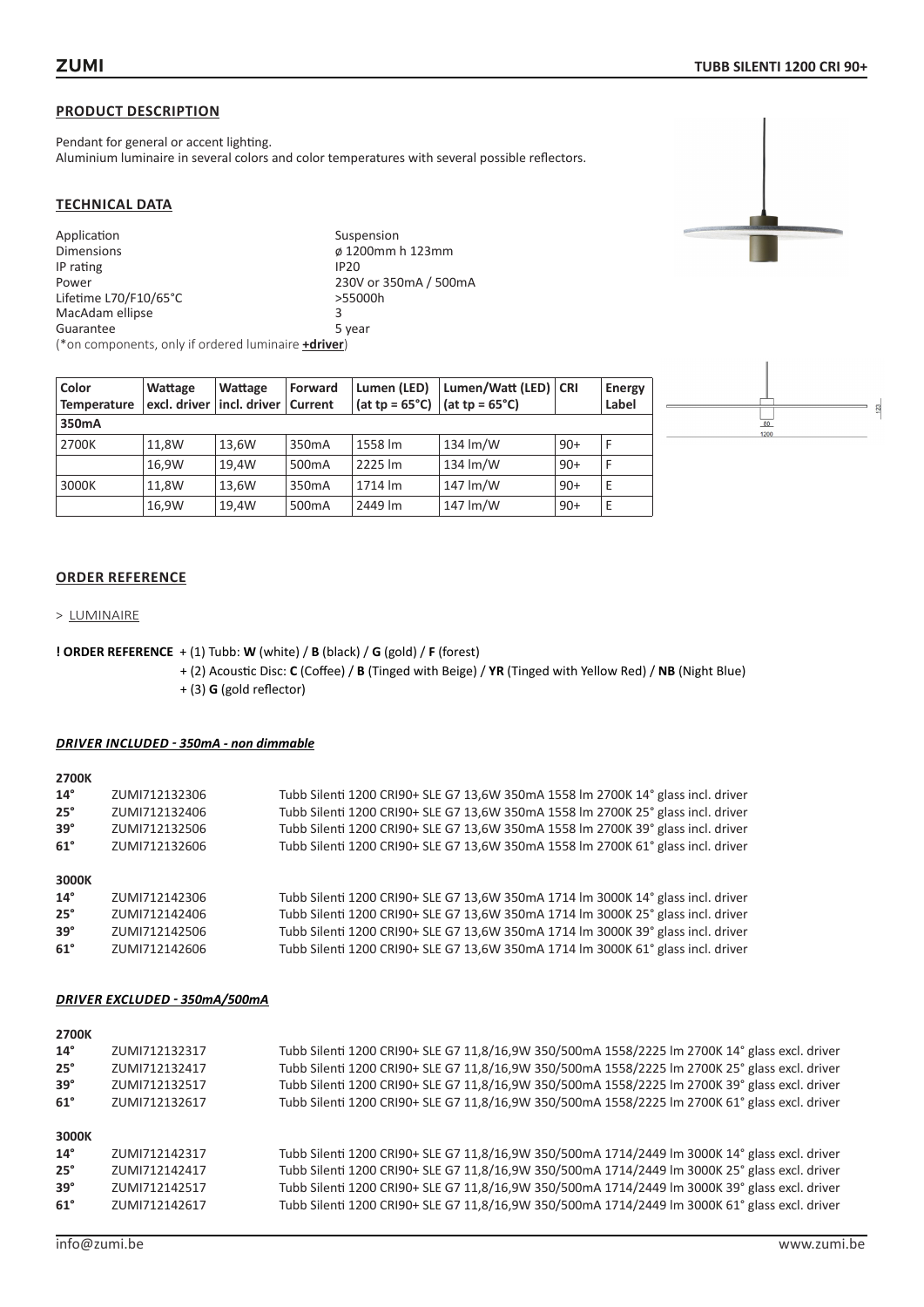Pendant for general or accent lighting. Aluminium luminaire in several colors and color temperatures with several possible reflectors.

#### **TECHNICAL DATA**

| Application                                                 | Suspension            |
|-------------------------------------------------------------|-----------------------|
| <b>Dimensions</b>                                           | ø 1200mm h 123mm      |
| IP rating                                                   | <b>IP20</b>           |
| Power                                                       | 230V or 350mA / 500mA |
| Lifetime L70/F10/65°C                                       | >55000h               |
| MacAdam ellipse                                             | з                     |
| Guarantee                                                   | 5 year                |
| (*on components, only if ordered luminaire <b>+driver</b> ) |                       |

| Color<br>Temperature | Wattage<br>excl. driver   incl. driver | Wattage | Forward<br>Current | Lumen (LED)<br>$(at tp = 65°C)$ | Lumen/Watt (LED)   CRI<br>(at tp = $65^{\circ}$ C) |       | <b>Energy</b><br>Label |
|----------------------|----------------------------------------|---------|--------------------|---------------------------------|----------------------------------------------------|-------|------------------------|
| 350mA                |                                        |         |                    |                                 |                                                    |       |                        |
| 2700K                | 11.8W                                  | 13.6W   | 350 <sub>m</sub> A | 1558 lm                         | $134 \text{ Im/W}$                                 | $90+$ |                        |
|                      | 16.9W                                  | 19.4W   | 500 <sub>m</sub> A | 2225 lm                         | $134 \mathrm{Im} / W$                              | $90+$ |                        |
| 3000K                | 11.8W                                  | 13,6W   | 350 <sub>m</sub> A | 1714 lm                         | 147 lm/W                                           | $90+$ | E                      |
|                      | 16,9W                                  | 19,4W   | 500 <sub>m</sub> A | 2449 lm                         | 147 lm/W                                           | $90+$ | Е                      |

# **ORDER REFERENCE**

#### > LUMINAIRE

**! ORDER REFERENCE** + (1) Tubb: **W** (white) / **B** (black) / **G** (gold) / **F** (forest)

+ (2) Acoustic Disc: **C** (Coffee) / **B** (Tinged with Beige) / **YR** (Tinged with Yellow Red) / **NB** (Night Blue) + (3) **G** (gold reflector)

#### *DRIVER INCLUDED - 350mA - non dimmable*

**2700K**

| -----        |               |                                                                                  |
|--------------|---------------|----------------------------------------------------------------------------------|
| $14^{\circ}$ | ZUMI712132306 | Tubb Silenti 1200 CRI90+ SLE G7 13,6W 350mA 1558 Im 2700K 14° glass incl. driver |
| $25^\circ$   | ZUMI712132406 | Tubb Silenti 1200 CRI90+ SLE G7 13,6W 350mA 1558 lm 2700K 25° glass incl. driver |
| $39^\circ$   | ZUMI712132506 | Tubb Silenti 1200 CRI90+ SLE G7 13,6W 350mA 1558 lm 2700K 39° glass incl. driver |
| $61^\circ$   | ZUMI712132606 | Tubb Silenti 1200 CRI90+ SLE G7 13,6W 350mA 1558 lm 2700K 61° glass incl. driver |
|              |               |                                                                                  |
| 3000K        |               |                                                                                  |
| $14^{\circ}$ | ZUMI712142306 | Tubb Silenti 1200 CRI90+ SLE G7 13,6W 350mA 1714 lm 3000K 14° glass incl. driver |
| $25^\circ$   | ZUMI712142406 | Tubb Silenti 1200 CRI90+ SLE G7 13,6W 350mA 1714 lm 3000K 25° glass incl. driver |
| $39^\circ$   | ZUMI712142506 | Tubb Silenti 1200 CRI90+ SLE G7 13,6W 350mA 1714 Im 3000K 39° glass incl. driver |
| $61^\circ$   | ZUMI712142606 | Tubb Silenti 1200 CRI90+ SLE G7 13,6W 350mA 1714 Im 3000K 61° glass incl. driver |
|              |               |                                                                                  |

| <b>2700K</b> |               |                                                                                                |
|--------------|---------------|------------------------------------------------------------------------------------------------|
| $14^{\circ}$ | ZUMI712132317 | Tubb Silenti 1200 CRI90+ SLE G7 11,8/16,9W 350/500mA 1558/2225 lm 2700K 14° glass excl. driver |
| $25^\circ$   | ZUMI712132417 | Tubb Silenti 1200 CRI90+ SLE G7 11,8/16,9W 350/500mA 1558/2225 Im 2700K 25° glass excl. driver |
| $39^\circ$   | ZUMI712132517 | Tubb Silenti 1200 CRI90+ SLE G7 11,8/16,9W 350/500mA 1558/2225 lm 2700K 39° glass excl. driver |
| $61^\circ$   | ZUMI712132617 | Tubb Silenti 1200 CRI90+ SLE G7 11,8/16,9W 350/500mA 1558/2225 lm 2700K 61° glass excl. driver |
| 3000K        |               |                                                                                                |
| $14^{\circ}$ | ZUMI712142317 | Tubb Silenti 1200 CRI90+ SLE G7 11,8/16,9W 350/500mA 1714/2449 lm 3000K 14° glass excl. driver |
| $25^\circ$   | ZUMI712142417 | Tubb Silenti 1200 CRI90+ SLE G7 11,8/16,9W 350/500mA 1714/2449 lm 3000K 25° glass excl. driver |
| $39^\circ$   | ZUMI712142517 | Tubb Silenti 1200 CRI90+ SLE G7 11,8/16,9W 350/500mA 1714/2449 lm 3000K 39° glass excl. driver |
| $61^\circ$   | ZUMI712142617 | Tubb Silenti 1200 CRI90+ SLE G7 11,8/16,9W 350/500mA 1714/2449 lm 3000K 61° glass excl. driver |
|              |               |                                                                                                |